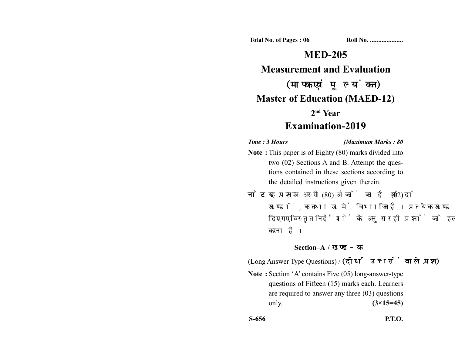**Total No. of Pages : 06 Roll No. ...................** 

# **MED-205**

## **Measurement and Evaluation**

# (मापक एवं मूल्यांकन) **Master of Education (MAED-12)**

### **2nd Year**

## **Examination-2019**

#### *Time :* **3** *Hours [Maximum Marks : 80*

- **Note :** This paper is of Eighty (80) marks divided into two (02) Sections A and B. Attempt the questions contained in these sections according to the detailed instructions given therein.
- नोट: यह प्रश्नपत्र अस्सी (80) अंकों का है जो दो (02) खण्डों, क तथा ख में विभाजित है। प्रत्येक खण्ड में दिए गए विस्तृत निर्देशों के अनुसार ही प्रश्नों को हल करना है।

#### **Section–A /**

(Long Answer Type Questions) / (दीर्घ उत्तरों वाले प्रश्न)

**Note :** Section 'A' contains Five (05) long-answer-type questions of Fifteen (15) marks each. Learners are required to answer any three (03) questions only. **(3×15=45)**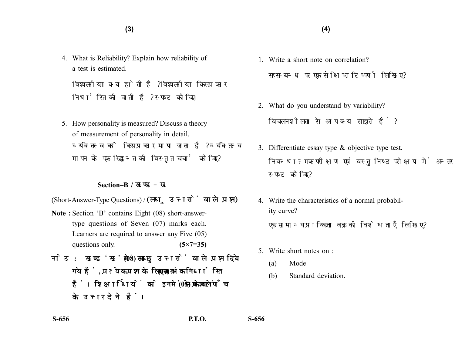4. What is Reliability? Explain how reliability of a test is estimated.

विश्वसनीयता क्या होती है ? विश्वसनीयता किस प्रकार निर्धारित की जाती है? स्पष्ट कीजिए।

5. How personality is measured? Discuss a theory of measurement of personality in detail. व्यक्तित्व को किस प्रकार मापा जाता है? व्यक्तित्व मापन के एक सिद्धान्त की विस्तृत चर्चा कीजिए?

#### **Section–B /**

(Short-Answer-Type Questions) / (लघु उत्तरों वाले प्रश्न)

- **Note :** Section 'B' contains Eight (08) short-answertype questions of Seven (07) marks each. Learners are required to answer any Five (05) questions only. **(5×7=35)**
- नोट: खण्ड'ख' में आठ (08) लघु उत्तरों वाले प्रश्न दिये गये हैं, प्रत्येक प्रश्न के लिए सात (07) अंक निर्धारित हैं। शिक्षार्थियों को इनमें से केवल पाँच (05) प्रश्नों के उत्तर देने हैं।
- 1. Write a short note on correlation? सहसम्बन्ध पर एक संक्षिप्त टिप्पणी लिखिए?
- 2. What do you understand by variability? विचलनशीलता से आप क्या समझते हैं?
- 3. Differentiate essay type & objective type test. निबन्धात्मक परीक्षण एवं वस्तुनिष्ठ परीक्षण में अन्तर स्पष्ट कीजिए?
- 4. Write the characteristics of a normal probability curve? एक सामान्य प्रायिकता वक्र की विशेषताएँ लिखिए?
- 5. Write short notes on :
	- (a) Mode
	- (b) Standard deviation.